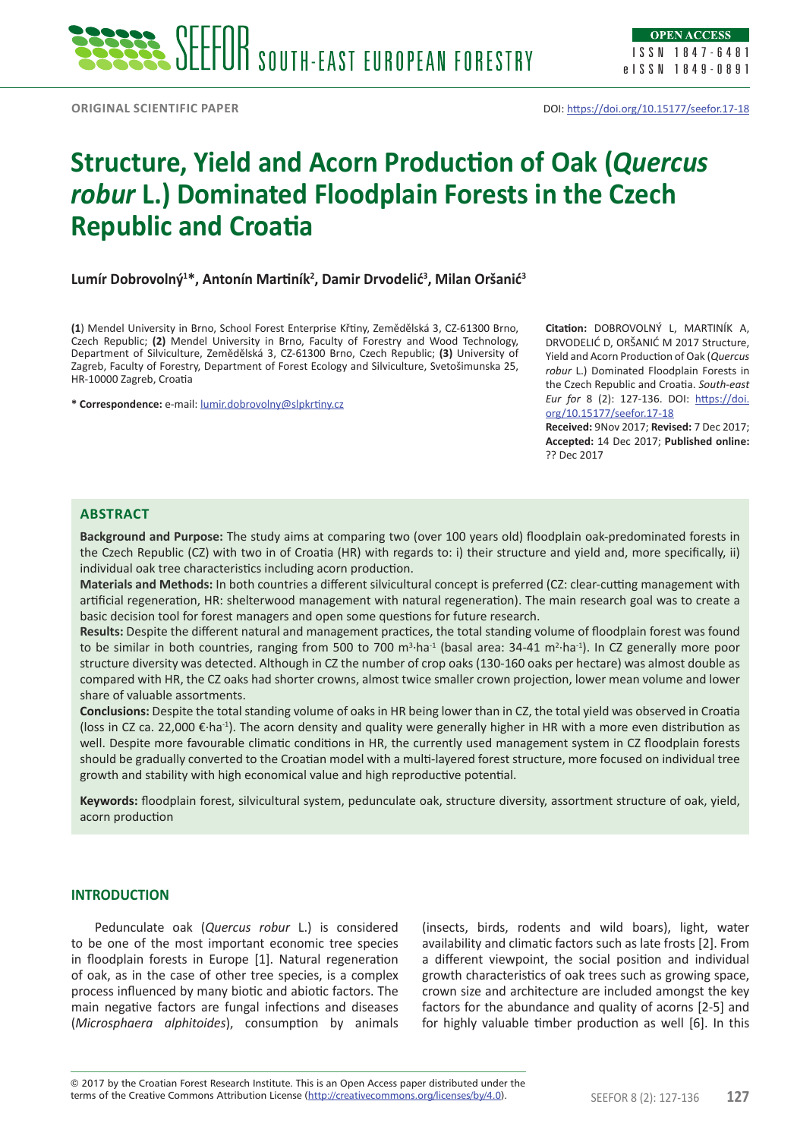# **Structure, Yield and Acorn Production of Oak (***Quercus robur* **L.) Dominated Floodplain Forests in the Czech Republic and Croatia**

**Lumír Dobrovolný1 \*, Antonín Martiník<sup>2</sup> , Damir Drvodelić3 , Milan Oršanić3**

**(1**) Mendel University in Brno, School Forest Enterprise Křtiny, Zemědělská 3, CZ-61300 Brno, Czech Republic; **(2)** Mendel University in Brno, Faculty of Forestry and Wood Technology, Department of Silviculture, Zemědělská 3, CZ-61300 Brno, Czech Republic; **(3)** University of Zagreb, Faculty of Forestry, Department of Forest Ecology and Silviculture, Svetošimunska 25, HR-10000 Zagreb, Croatia

**\* Correspondence:** e-mail: [lumir.dobrovolny@slpkrtiny.cz](mailto:lumir.dobrovolny@slpkrtiny.cz)

**Citation:** DOBROVOLNÝ L, MARTINÍK A, DRVODELIĆ D, ORŠANIĆ M 2017 Structure, Yield and Acorn Production of Oak (*Quercus robur* L.) Dominated Floodplain Forests in the Czech Republic and Croatia. *South-east Eur for* 8 (2): 127-136. DOI: [https://doi.](https://doi.org/10.15177/seefor.17-18) [org/10.15177/seefor.17-18](https://doi.org/10.15177/seefor.17-18)

**Received:** 9Nov 2017; **Revised:** 7 Dec 2017; **Accepted:** 14 Dec 2017; **Published online:**  ?? Dec 2017

## **Abstract**

**Background and Purpose:** The study aims at comparing two (over 100 years old) floodplain oak-predominated forests in the Czech Republic (CZ) with two in of Croatia (HR) with regards to: i) their structure and yield and, more specifically, ii) individual oak tree characteristics including acorn production.

**Materials and Methods:** In both countries a different silvicultural concept is preferred (CZ: clear-cutting management with artificial regeneration, HR: shelterwood management with natural regeneration). The main research goal was to create a basic decision tool for forest managers and open some questions for future research.

**Results:** Despite the different natural and management practices, the total standing volume of floodplain forest was found to be similar in both countries, ranging from 500 to 700 m<sup>3</sup>·ha<sup>-1</sup> (basal area: 34-41 m<sup>2</sup>·ha<sup>-1</sup>). In CZ generally more poor structure diversity was detected. Although in CZ the number of crop oaks (130-160 oaks per hectare) was almost double as compared with HR, the CZ oaks had shorter crowns, almost twice smaller crown projection, lower mean volume and lower share of valuable assortments.

**Conclusions:** Despite the total standing volume of oaks in HR being lower than in CZ, the total yield was observed in Croatia (loss in CZ ca. 22,000  $\epsilon$ -ha<sup>-1</sup>). The acorn density and quality were generally higher in HR with a more even distribution as well. Despite more favourable climatic conditions in HR, the currently used management system in CZ floodplain forests should be gradually converted to the Croatian model with a multi-layered forest structure, more focused on individual tree growth and stability with high economical value and high reproductive potential.

**Keywords:** floodplain forest, silvicultural system, pedunculate oak, structure diversity, assortment structure of oak, yield, acorn production

#### **INTRODUCTION**

Pedunculate oak (*Quercus robur* L.) is considered to be one of the most important economic tree species in floodplain forests in Europe [1]. Natural regeneration of oak, as in the case of other tree species, is a complex process influenced by many biotic and abiotic factors. The main negative factors are fungal infections and diseases (*Microsphaera alphitoides*), consumption by animals (insects, birds, rodents and wild boars), light, water availability and climatic factors such as late frosts [2]. From a different viewpoint, the social position and individual growth characteristics of oak trees such as growing space, crown size and architecture are included amongst the key factors for the abundance and quality of acorns [2-5] and for highly valuable timber production as well [6]. In this

terms of the Creative Commons Attribution License (<u>http://creativecommons.org/licenses/by/4.0</u>). SEEFOR 8 (2): 127-136 **127** © 2017 by the Croatian Forest Research Institute. This is an Open Access paper distributed under the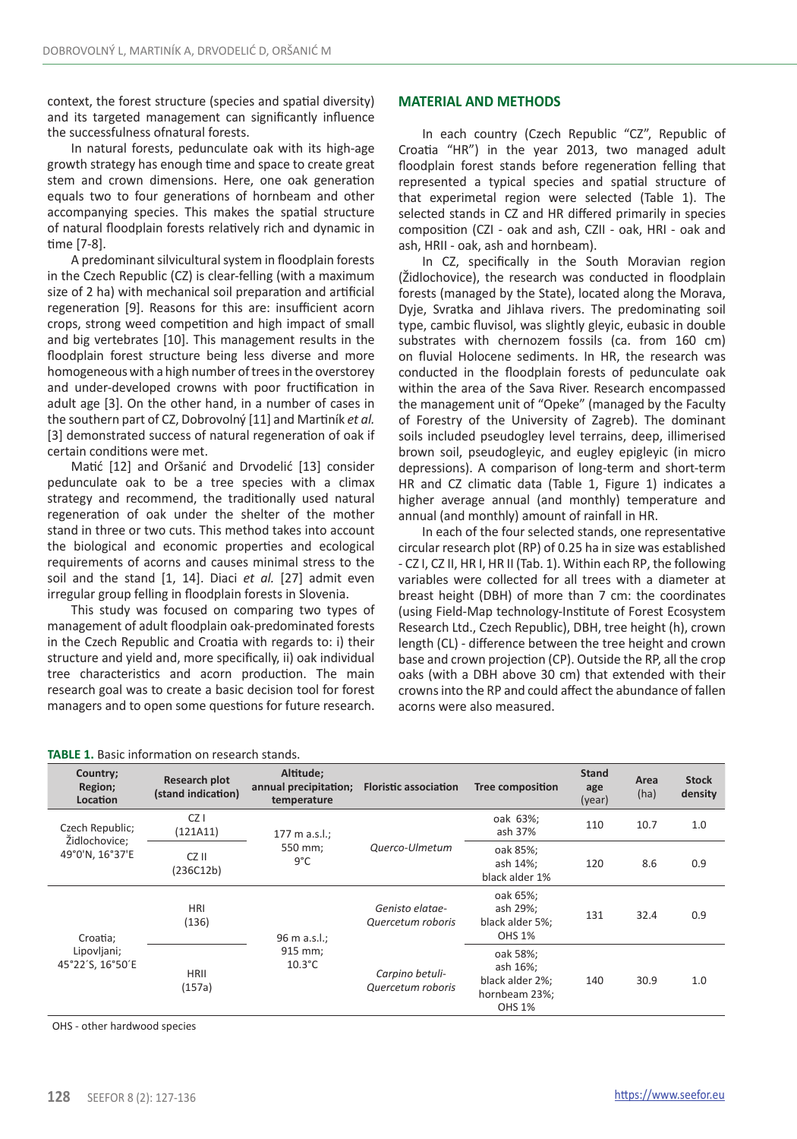context, the forest structure (species and spatial diversity) and its targeted management can significantly influence the successfulness ofnatural forests.

In natural forests, pedunculate oak with its high-age growth strategy has enough time and space to create great stem and crown dimensions. Here, one oak generation equals two to four generations of hornbeam and other accompanying species. This makes the spatial structure of natural floodplain forests relatively rich and dynamic in time [7-8].

A predominant silvicultural system in floodplain forests in the Czech Republic (CZ) is clear-felling (with a maximum size of 2 ha) with mechanical soil preparation and artificial regeneration [9]. Reasons for this are: insufficient acorn crops, strong weed competition and high impact of small and big vertebrates [10]. This management results in the floodplain forest structure being less diverse and more homogeneous with a high number of trees in the overstorey and under-developed crowns with poor fructification in adult age [3]. On the other hand, in a number of cases in the southern part of CZ, Dobrovolný [11] and Martiník *et al.*  [3] demonstrated success of natural regeneration of oak if certain conditions were met.

Matić [12] and Oršanić and Drvodelić [13] consider pedunculate oak to be a tree species with a climax strategy and recommend, the traditionally used natural regeneration of oak under the shelter of the mother stand in three or two cuts. This method takes into account the biological and economic properties and ecological requirements of acorns and causes minimal stress to the soil and the stand [1, 14]. Diaci *et al.* [27] admit even irregular group felling in floodplain forests in Slovenia.

This study was focused on comparing two types of management of adult floodplain oak-predominated forests in the Czech Republic and Croatia with regards to: i) their structure and yield and, more specifically, ii) oak individual tree characteristics and acorn production. The main research goal was to create a basic decision tool for forest managers and to open some questions for future research.

## **MATERIAL AND METHODS**

In each country (Czech Republic "CZ", Republic of Croatia "HR") in the year 2013, two managed adult floodplain forest stands before regeneration felling that represented a typical species and spatial structure of that experimetal region were selected (Table 1). The selected stands in CZ and HR differed primarily in species composition (CZI - oak and ash, CZII - oak, HRI - oak and ash, HRII - oak, ash and hornbeam).

In CZ, specifically in the South Moravian region (Židlochovice), the research was conducted in floodplain forests (managed by the State), located along the Morava, Dyje, Svratka and Jihlava rivers. The predominating soil type, cambic fluvisol, was slightly gleyic, eubasic in double substrates with chernozem fossils (ca. from 160 cm) on fluvial Holocene sediments. In HR, the research was conducted in the floodplain forests of pedunculate oak within the area of the Sava River. Research encompassed the management unit of "Opeke" (managed by the Faculty of Forestry of the University of Zagreb). The dominant soils included pseudogley level terrains, deep, illimerised brown soil, pseudogleyic, and eugley epigleyic (in micro depressions). A comparison of long-term and short-term HR and CZ climatic data (Table 1, Figure 1) indicates a higher average annual (and monthly) temperature and annual (and monthly) amount of rainfall in HR.

In each of the four selected stands, one representative circular research plot (RP) of 0.25 ha in size was established - CZ I, CZ II, HR I, HR II (Tab. 1). Within each RP, the following variables were collected for all trees with a diameter at breast height (DBH) of more than 7 cm: the coordinates (using Field-Map technology-Institute of Forest Ecosystem Research Ltd., Czech Republic), DBH, tree height (h), crown length (CL) - difference between the tree height and crown base and crown projection (CP). Outside the RP, all the crop oaks (with a DBH above 30 cm) that extended with their crowns into the RP and could affect the abundance of fallen acorns were also measured.

| Country;<br>Region;<br>Location  | <b>Research plot</b><br>(stand indication) | Altitude;<br>annual precipitation;<br>temperature | <b>Floristic association</b>         | Tree composition                                                          | <b>Stand</b><br>age<br>(year) | Area<br>(ha) | <b>Stock</b><br>density |
|----------------------------------|--------------------------------------------|---------------------------------------------------|--------------------------------------|---------------------------------------------------------------------------|-------------------------------|--------------|-------------------------|
| Czech Republic;<br>Židlochovice: | CZ <sub>1</sub><br>(121A11)                | $177 \text{ m a.s.l.}$ ;                          |                                      | oak 63%;<br>ash 37%                                                       | 110                           | 10.7         | 1.0                     |
| 49°0'N. 16°37'E                  | CZ II<br>(236C12b)                         | 550 mm:<br>9°C                                    | Querco-Ulmetum                       | oak 85%;<br>ash 14%:<br>black alder 1%                                    | 120                           | 8.6          | 0.9                     |
| Croatia;                         | <b>HRI</b><br>(136)                        | 96 m a.s.l.;                                      | Genisto elatae-<br>Quercetum roboris | oak 65%;<br>ash 29%;<br>black alder 5%;<br><b>OHS 1%</b>                  | 131                           | 32.4         | 0.9                     |
| Lipovljani;<br>45°22'S. 16°50'E  | <b>HRII</b><br>(157a)                      | 915 mm;<br>$10.3^{\circ}$ C                       | Carpino betuli-<br>Quercetum roboris | oak 58%;<br>ash 16%;<br>black alder 2%:<br>hornbeam 23%;<br><b>OHS 1%</b> | 140                           | 30.9         | 1.0                     |

## **TABLE 1.** Basic information on research stands.

OHS - other hardwood species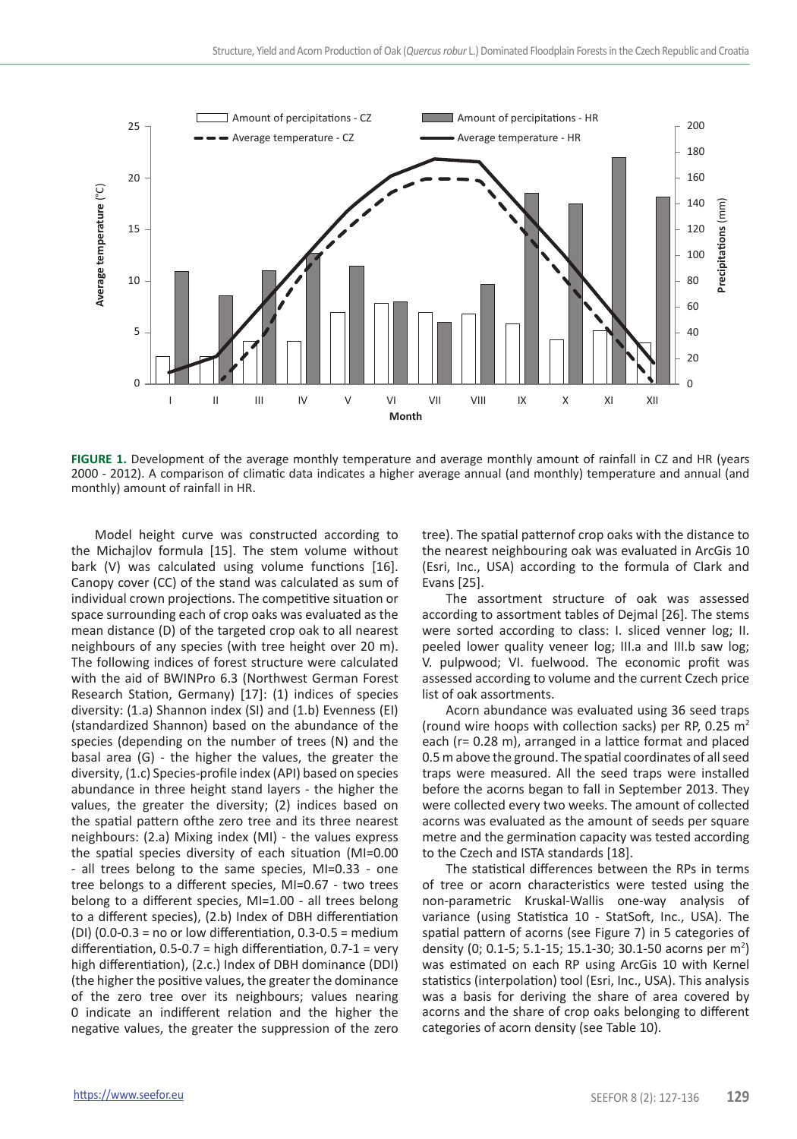

**FIGURE 1.** Development of the average monthly temperature and average monthly amount of rainfall in CZ and HR (years 2000 - 2012). A comparison of climatic data indicates a higher average annual (and monthly) temperature and annual (and monthly) amount of rainfall in HR.

Model height curve was constructed according to the Michajlov formula [15]. The stem volume without bark (V) was calculated using volume functions [16]. Canopy cover (CC) of the stand was calculated as sum of individual crown projections. The competitive situation or space surrounding each of crop oaks was evaluated as the mean distance (D) of the targeted crop oak to all nearest neighbours of any species (with tree height over 20 m). The following indices of forest structure were calculated with the aid of BWINPro 6.3 (Northwest German Forest Research Station, Germany) [17]: (1) indices of species diversity: (1.a) Shannon index (SI) and (1.b) Evenness (EI) (standardized Shannon) based on the abundance of the species (depending on the number of trees (N) and the basal area (G) - the higher the values, the greater the diversity, (1.c) Species-profile index (API) based on species abundance in three height stand layers - the higher the values, the greater the diversity; (2) indices based on the spatial pattern ofthe zero tree and its three nearest neighbours: (2.a) Mixing index (MI) - the values express the spatial species diversity of each situation (MI=0.00 - all trees belong to the same species, MI=0.33 - one tree belongs to a different species, MI=0.67 - two trees belong to a different species, MI=1.00 - all trees belong to a different species), (2.b) Index of DBH differentiation (DI) (0.0-0.3 = no or low differentiation, 0.3-0.5 = medium differentiation,  $0.5$ -0.7 = high differentiation,  $0.7$ -1 = very high differentiation), (2.c.) Index of DBH dominance (DDI) (the higher the positive values, the greater the dominance of the zero tree over its neighbours; values nearing 0 indicate an indifferent relation and the higher the negative values, the greater the suppression of the zero

tree). The spatial patternof crop oaks with the distance to the nearest neighbouring oak was evaluated in ArcGis 10 (Esri, Inc., USA) according to the formula of Clark and Evans [25].

The assortment structure of oak was assessed according to assortment tables of Dejmal [26]. The stems were sorted according to class: I. sliced venner log; II. peeled lower quality veneer log; III.a and III.b saw log; V. pulpwood; VI. fuelwood. The economic profit was assessed according to volume and the current Czech price list of oak assortments.

Acorn abundance was evaluated using 36 seed traps (round wire hoops with collection sacks) per RP, 0.25  $m<sup>2</sup>$ each (r= 0.28 m), arranged in a lattice format and placed 0.5 m above the ground. The spatial coordinates of all seed traps were measured. All the seed traps were installed before the acorns began to fall in September 2013. They were collected every two weeks. The amount of collected acorns was evaluated as the amount of seeds per square metre and the germination capacity was tested according to the Czech and ISTA standards [18].

The statistical differences between the RPs in terms of tree or acorn characteristics were tested using the non-parametric Kruskal-Wallis one-way analysis of variance (using Statistica 10 - StatSoft, Inc., USA). The spatial pattern of acorns (see Figure 7) in 5 categories of density (0; 0.1-5; 5.1-15; 15.1-30; 30.1-50 acorns per m<sup>2</sup>) was estimated on each RP using ArcGis 10 with Kernel statistics (interpolation) tool (Esri, Inc., USA). This analysis was a basis for deriving the share of area covered by acorns and the share of crop oaks belonging to different categories of acorn density (see Table 10).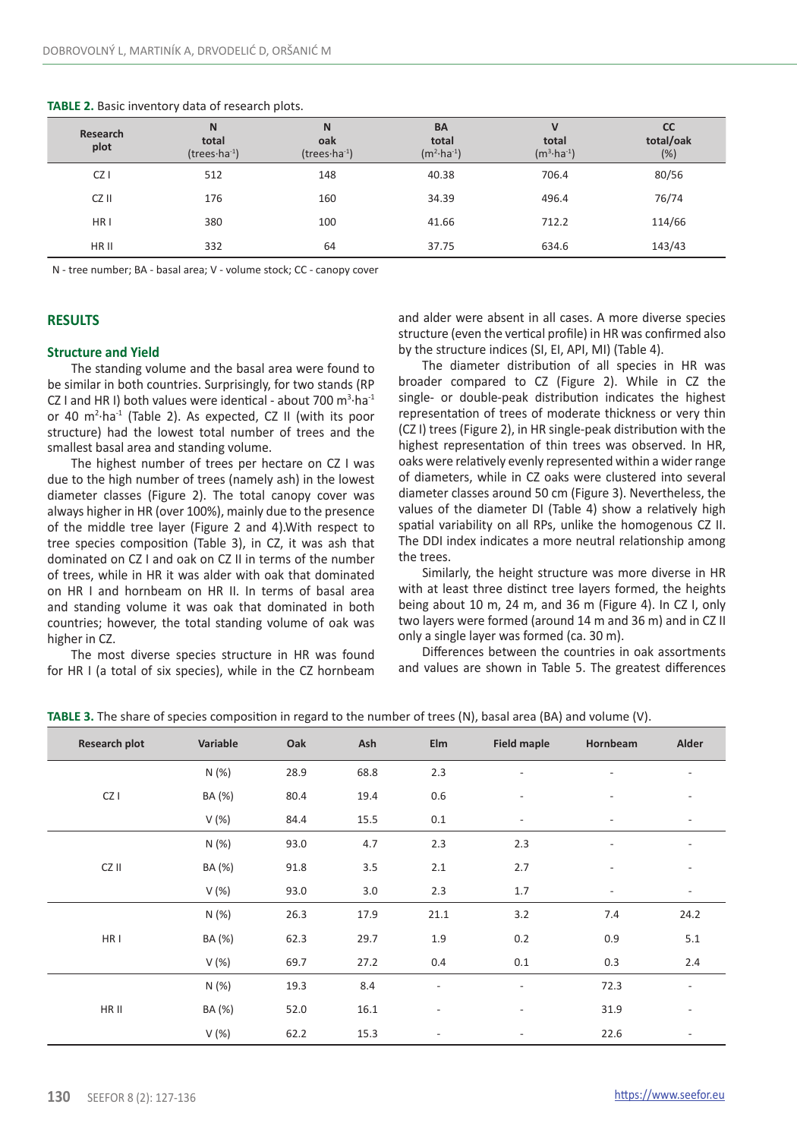| Research<br>plot | N<br>total<br>$(trees·ha-1)$ | N<br>oak<br>$(trees·ha-1)$ | <b>BA</b><br>total<br>$(m^2 \cdot ha^{-1})$ | $\mathsf{v}$<br>total<br>$(m^3 \cdot ha^{-1})$ | CC<br>total/oak<br>$(\%)$ |
|------------------|------------------------------|----------------------------|---------------------------------------------|------------------------------------------------|---------------------------|
| CZ               | 512                          | 148                        | 40.38                                       | 706.4                                          | 80/56                     |
| CZ II            | 176                          | 160                        | 34.39                                       | 496.4                                          | 76/74                     |
| HR <sub>1</sub>  | 380                          | 100                        | 41.66                                       | 712.2                                          | 114/66                    |
| HR II            | 332                          | 64                         | 37.75                                       | 634.6                                          | 143/43                    |

#### **TABLE 2.** Basic inventory data of research plots.

N - tree number; BA - basal area; V - volume stock; CC - canopy cover

## **RESULTS**

#### **Structure and Yield**

The standing volume and the basal area were found to be similar in both countries. Surprisingly, for two stands (RP CZ I and HR I) both values were identical - about 700  $\text{m}^3 \cdot \text{ha}^{-1}$ or 40 m<sup>2</sup> ·ha-1 (Table 2). As expected, CZ II (with its poor structure) had the lowest total number of trees and the smallest basal area and standing volume.

The highest number of trees per hectare on CZ I was due to the high number of trees (namely ash) in the lowest diameter classes (Figure 2). The total canopy cover was always higher in HR (over 100%), mainly due to the presence of the middle tree layer (Figure 2 and 4).With respect to tree species composition (Table 3), in CZ, it was ash that dominated on CZ I and oak on CZ II in terms of the number of trees, while in HR it was alder with oak that dominated on HR I and hornbeam on HR II. In terms of basal area and standing volume it was oak that dominated in both countries; however, the total standing volume of oak was higher in CZ.

The most diverse species structure in HR was found for HR I (a total of six species), while in the CZ hornbeam and alder were absent in all cases. A more diverse species structure (even the vertical profile) in HR was confirmed also by the structure indices (SI, EI, API, MI) (Table 4).

The diameter distribution of all species in HR was broader compared to CZ (Figure 2). While in CZ the single- or double-peak distribution indicates the highest representation of trees of moderate thickness or very thin (CZ I) trees (Figure 2), in HR single-peak distribution with the highest representation of thin trees was observed. In HR, oaks were relatively evenly represented within a wider range of diameters, while in CZ oaks were clustered into several diameter classes around 50 cm (Figure 3). Nevertheless, the values of the diameter DI (Table 4) show a relatively high spatial variability on all RPs, unlike the homogenous CZ II. The DDI index indicates a more neutral relationship among the trees.

Similarly, the height structure was more diverse in HR with at least three distinct tree layers formed, the heights being about 10 m, 24 m, and 36 m (Figure 4). In CZ I, only two layers were formed (around 14 m and 36 m) and in CZ II only a single layer was formed (ca. 30 m).

Differences between the countries in oak assortments and values are shown in Table 5. The greatest differences

|  |  |  | TABLE 3. The share of species composition in regard to the number of trees (N), basal area (BA) and volume (V). |
|--|--|--|-----------------------------------------------------------------------------------------------------------------|
|--|--|--|-----------------------------------------------------------------------------------------------------------------|

| Research plot | Variable | Oak  | Ash  | Elm                      | <b>Field maple</b>       | Hornbeam                 | Alder                    |
|---------------|----------|------|------|--------------------------|--------------------------|--------------------------|--------------------------|
|               | N(%)     | 28.9 | 68.8 | 2.3                      |                          |                          |                          |
| CZ I          | BA (%)   | 80.4 | 19.4 | 0.6                      | $\overline{\phantom{a}}$ | $\overline{a}$           | ۰                        |
|               | V(%)     | 84.4 | 15.5 | 0.1                      | $\overline{\phantom{a}}$ | $\overline{\phantom{a}}$ | $\overline{\phantom{a}}$ |
|               | N (%)    | 93.0 | 4.7  | 2.3                      | 2.3                      | $\overline{\phantom{0}}$ |                          |
| CZ II         | BA (%)   | 91.8 | 3.5  | 2.1                      | 2.7                      | $\overline{\phantom{a}}$ | $\overline{\phantom{0}}$ |
|               | V(%)     | 93.0 | 3.0  | 2.3                      | 1.7                      | $\overline{\phantom{0}}$ | $\overline{\phantom{0}}$ |
|               | N(%)     | 26.3 | 17.9 | 21.1                     | 3.2                      | 7.4                      | 24.2                     |
| HR I          | BA (%)   | 62.3 | 29.7 | 1.9                      | 0.2                      | 0.9                      | 5.1                      |
|               | V(%)     | 69.7 | 27.2 | 0.4                      | 0.1                      | 0.3                      | 2.4                      |
|               | N (%)    | 19.3 | 8.4  | ÷                        | $\overline{\phantom{a}}$ | 72.3                     |                          |
| HR II         | BA (%)   | 52.0 | 16.1 | $\overline{\phantom{a}}$ | $\overline{\phantom{a}}$ | 31.9                     | ۰                        |
|               | V(%)     | 62.2 | 15.3 | $\overline{a}$           | $\overline{\phantom{a}}$ | 22.6                     |                          |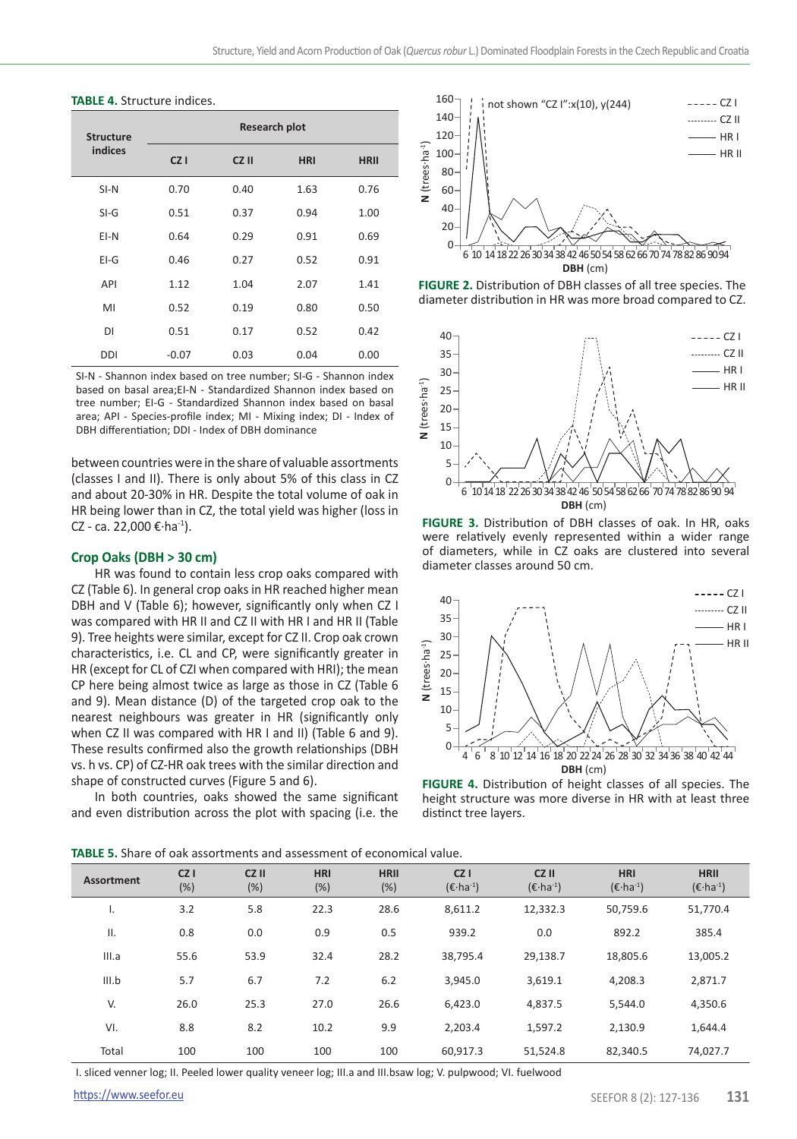#### **TABLE 4.** Structure indices.

| <b>Structure</b> | <b>Research plot</b> |       |            |             |  |  |  |
|------------------|----------------------|-------|------------|-------------|--|--|--|
| indices          | CZ <sub>1</sub>      | CZ II | <b>HRI</b> | <b>HRII</b> |  |  |  |
| $SI-N$           | 0.70                 | 0.40  | 1.63       | 0.76        |  |  |  |
| $SI-G$           | 0.51                 | 0.37  | 0.94       | 1.00        |  |  |  |
| EI-N             | 0.64                 | 0.29  | 0.91       | 0.69        |  |  |  |
| $E1-G$           | 0.46                 | 0.27  | 0.52       | 0.91        |  |  |  |
| <b>API</b>       | 1.12                 | 1.04  | 2.07       | 1.41        |  |  |  |
| MI               | 0.52                 | 0.19  | 0.80       | 0.50        |  |  |  |
| DI               | 0.51                 | 0.17  | 0.52       | 0.42        |  |  |  |
| DDI              | $-0.07$              | 0.03  | 0.04       | 0.00        |  |  |  |

SI-N - Shannon index based on tree number; SI-G - Shannon index based on basal area;EI-N - Standardized Shannon index based on tree number; EI-G - Standardized Shannon index based on basal area; API - Species-profile index; MI - Mixing index; DI - Index of DBH differentiation; DDI - Index of DBH dominance

between countries were in the share of valuable assortments (classes I and II). There is only about 5% of this class in CZ and about 20-30% in HR. Despite the total volume of oak in HR being lower than in CZ, the total yield was higher (loss in CZ - ca. 22,000 € $\cdot$ ha $^{-1}$ ).

## **Crop Oaks (DBH > 30 cm)**

HR was found to contain less crop oaks compared with CZ (Table 6). In general crop oaks in HR reached higher mean DBH and V (Table 6); however, significantly only when CZ I was compared with HR II and CZ II with HR I and HR II (Table 9). Tree heights were similar, except for CZ II. Crop oak crown characteristics, i.e. CL and CP, were significantly greater in HR (except for CL of CZI when compared with HRI); the mean CP here being almost twice as large as those in CZ (Table 6 and 9). Mean distance (D) of the targeted crop oak to the nearest neighbours was greater in HR (significantly only when CZ II was compared with HR I and II) (Table 6 and 9). These results confirmed also the growth relationships (DBH vs. h vs. CP) of CZ-HR oak trees with the similar direction and shape of constructed curves (Figure 5 and 6).

In both countries, oaks showed the same significant and even distribution across the plot with spacing (i.e. the

**TABLE 5.** Share of oak assortments and assessment of economical value.



**FIGURE 2.** Distribution of DBH classes of all tree species. The diameter distribution in HR was more broad compared to CZ.



**FIGURE 3.** Distribution of DBH classes of oak. In HR, oaks were relatively evenly represented within a wider range of diameters, while in CZ oaks are clustered into several diameter classes around 50 cm.



**FIGURE 4.** Distribution of height classes of all species. The height structure was more diverse in HR with at least three distinct tree layers.

| <b>Assortment</b> | CZ <sub>1</sub><br>(%) | CZ II<br>(%) | <b>HRI</b><br>(%) | <b>HRII</b><br>(%) | CZ <sub>1</sub><br>$(\epsilon$ ·ha <sup>-1</sup> ) | CZ II<br>$(\epsilon$ ·ha <sup>-1</sup> ) | <b>HRI</b><br>$(\epsilon$ ·ha <sup>-1</sup> ) | <b>HRII</b><br>$(\epsilon$ ·ha <sup>-1</sup> ) |
|-------------------|------------------------|--------------|-------------------|--------------------|----------------------------------------------------|------------------------------------------|-----------------------------------------------|------------------------------------------------|
| ъ.                | 3.2                    | 5.8          | 22.3              | 28.6               | 8,611.2                                            | 12,332.3                                 | 50.759.6                                      | 51,770.4                                       |
| Ш.                | 0.8                    | 0.0          | 0.9               | 0.5                | 939.2                                              | 0.0                                      | 892.2                                         | 385.4                                          |
| III.a             | 55.6                   | 53.9         | 32.4              | 28.2               | 38.795.4                                           | 29,138.7                                 | 18.805.6                                      | 13,005.2                                       |
| III.b             | 5.7                    | 6.7          | 7.2               | 6.2                | 3.945.0                                            | 3.619.1                                  | 4.208.3                                       | 2.871.7                                        |
| V.                | 26.0                   | 25.3         | 27.0              | 26.6               | 6.423.0                                            | 4,837.5                                  | 5.544.0                                       | 4,350.6                                        |
| VI.               | 8.8                    | 8.2          | 10.2              | 9.9                | 2.203.4                                            | 1.597.2                                  | 2.130.9                                       | 1.644.4                                        |
| Total             | 100                    | 100          | 100               | 100                | 60.917.3                                           | 51,524.8                                 | 82.340.5                                      | 74,027.7                                       |

I. sliced venner log; II. Peeled lower quality veneer log; III.a and III.bsaw log; V. pulpwood; VI. fuelwood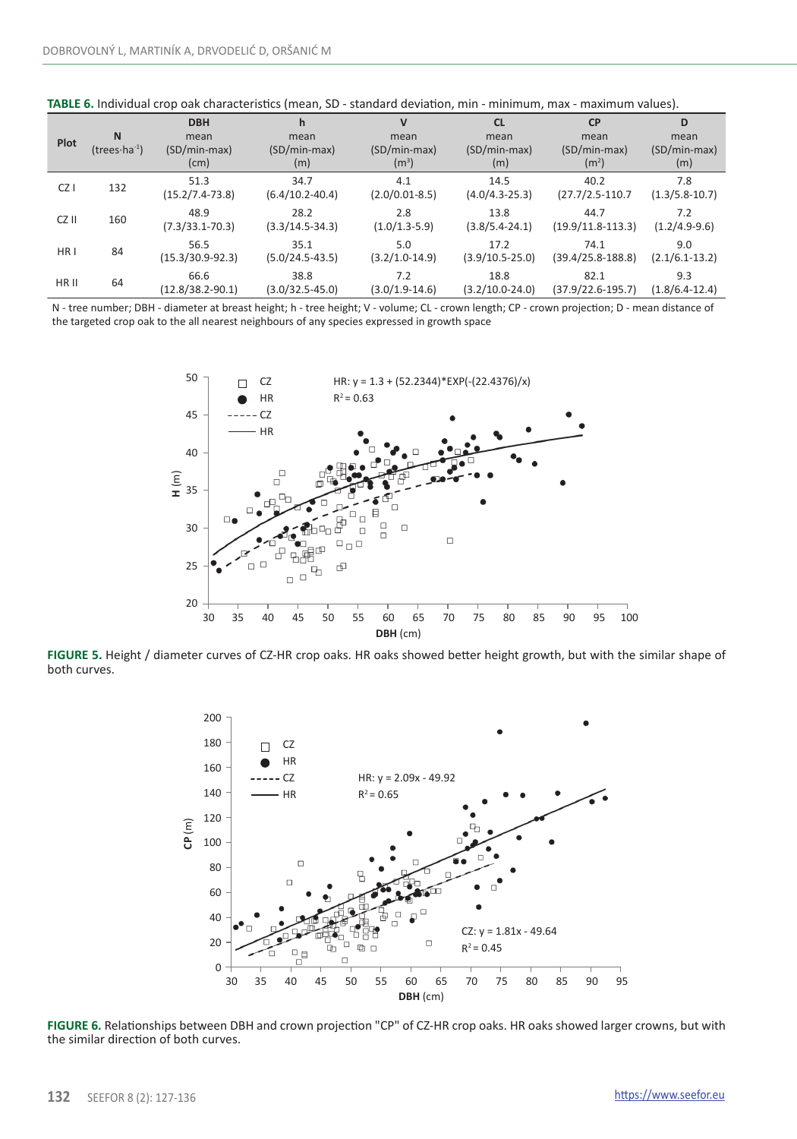| Plot            | <b>N</b><br>(trees $\cdot$ ha $^{-1}$ ) | <b>DBH</b><br>mean<br>(SD/min-max)<br>(cm) | h<br>mean<br>(SD/min-max)<br>(m) | $\mathsf{V}$<br>mean<br>$(SD/min-max)$<br>(m <sup>3</sup> ) | <b>CL</b><br>mean<br>(SD/min-max)<br>(m) | <b>CP</b><br>mean<br>(SD/min-max)<br>(m <sup>2</sup> ) | D<br>mean<br>(SD/min-max)<br>(m) |
|-----------------|-----------------------------------------|--------------------------------------------|----------------------------------|-------------------------------------------------------------|------------------------------------------|--------------------------------------------------------|----------------------------------|
| CZ <sub>I</sub> | 132                                     | 51.3<br>$(15.2/7.4-73.8)$                  | 34.7<br>$(6.4/10.2 - 40.4)$      | 4.1<br>$(2.0/0.01-8.5)$                                     | 14.5<br>$(4.0/4.3-25.3)$                 | 40.2<br>$(27.7/2.5-110.7$                              | 7.8<br>$(1.3/5.8-10.7)$          |
| CZ II           | 160                                     | 48.9<br>$(7.3/33.1 - 70.3)$                | 28.2<br>$(3.3/14.5-34.3)$        | 2.8<br>$(1.0/1.3-5.9)$                                      | 13.8<br>$(3.8/5.4-24.1)$                 | 44.7<br>$(19.9/11.8-113.3)$                            | 7.2<br>$(1.2/4.9-9.6)$           |
| HR <sub>1</sub> | 84                                      | 56.5<br>$(15.3/30.9-92.3)$                 | 35.1<br>$(5.0/24.5-43.5)$        | 5.0<br>$(3.2/1.0-14.9)$                                     | 17.2<br>$(3.9/10.5-25.0)$                | 74.1<br>$(39.4/25.8-188.8)$                            | 9.0<br>$(2.1/6.1-13.2)$          |
| HR II           | 64                                      | 66.6<br>$(12.8/38.2 - 90.1)$               | 38.8<br>$(3.0/32.5 - 45.0)$      | 7.2<br>$(3.0/1.9-14.6)$                                     | 18.8<br>$(3.2/10.0 - 24.0)$              | 82.1<br>$(37.9/22.6-195.7)$                            | 9.3<br>$(1.8/6.4-12.4)$          |

**TABLE 6.** Individual crop oak characteristics (mean, SD - standard deviation, min - minimum, max - maximum values).

N - tree number; DBH - diameter at breast height; h - tree height; V - volume; CL - crown length; CP - crown projection; D - mean distance of the targeted crop oak to the all nearest neighbours of any species expressed in growth space



**FIGURE 5.** Height / diameter curves of CZ-HR crop oaks. HR oaks showed better height growth, but with the similar shape of both curves.



**FIGURE 6.** Relationships between DBH and crown projection "CP" of CZ-HR crop oaks. HR oaks showed larger crowns, but with the similar direction of both curves.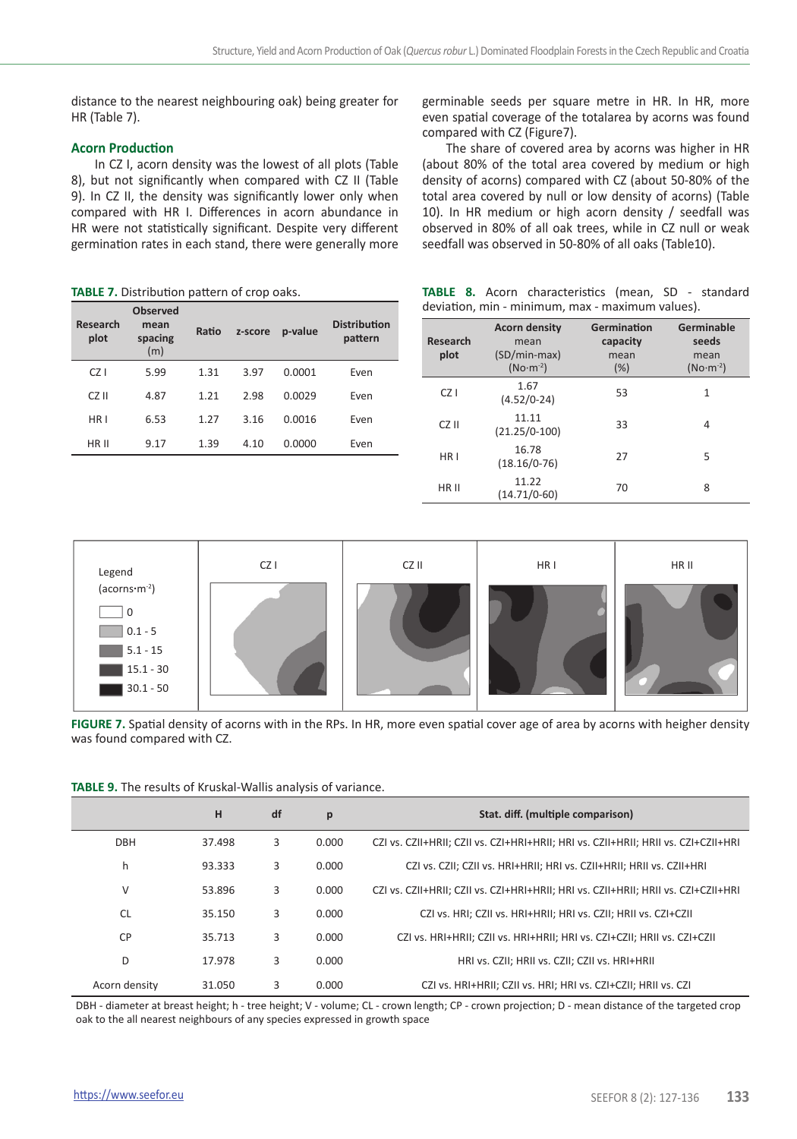distance to the nearest neighbouring oak) being greater for HR (Table 7).

## **Acorn Production**

In CZ I, acorn density was the lowest of all plots (Table 8), but not significantly when compared with CZ II (Table 9). In CZ II, the density was significantly lower only when compared with HR I. Differences in acorn abundance in HR were not statistically significant. Despite very different germination rates in each stand, there were generally more

**TABLE 7.** Distribution pattern of crop oaks.

| Research<br>plot | <b>Observed</b><br>mean<br>spacing<br>(m) | Ratio | z-score | p-value | <b>Distribution</b><br>pattern |
|------------------|-------------------------------------------|-------|---------|---------|--------------------------------|
| $CZ$ I           | 5.99                                      | 1.31  | 3.97    | 0.0001  | Even                           |
| CZ II            | 4.87                                      | 1.21  | 2.98    | 0.0029  | Even                           |
| HR <sub>1</sub>  | 6.53                                      | 1.27  | 3.16    | 0.0016  | Even                           |
| HR II            | 9.17                                      | 1.39  | 4.10    | 0.0000  | Even                           |
|                  |                                           |       |         |         |                                |

germinable seeds per square metre in HR. In HR, more even spatial coverage of the totalarea by acorns was found compared with CZ (Figure7).

The share of covered area by acorns was higher in HR (about 80% of the total area covered by medium or high density of acorns) compared with CZ (about 50-80% of the total area covered by null or low density of acorns) (Table 10). In HR medium or high acorn density / seedfall was observed in 80% of all oak trees, while in CZ null or weak seedfall was observed in 50-80% of all oaks (Table10).

|  | <b>TABLE 8.</b> Acorn characteristics (mean, SD - standard |  |  |
|--|------------------------------------------------------------|--|--|
|  | deviation, min - minimum, max - maximum values).           |  |  |

| Research<br>plot | <b>Acorn density</b><br>mean<br>(SD/min-max)<br>$(No·m-2)$ | Germination<br>capacity<br>mean<br>(%) | Germinable<br>seeds<br>mean<br>$(No·m-2)$ |
|------------------|------------------------------------------------------------|----------------------------------------|-------------------------------------------|
| CZ1              | 1.67<br>$(4.52/0-24)$                                      | 53                                     | $\mathbf{1}$                              |
| CZ II            | 11.11<br>$(21.25/0-100)$                                   | 33                                     | 4                                         |
| HR <sub>1</sub>  | 16.78<br>$(18.16/0-76)$                                    | 27                                     | 5                                         |
| HR II            | 11.22<br>$(14.71/0-60)$                                    | 70                                     | 8                                         |



**FIGURE 7.** Spatial density of acorns with in the RPs. In HR, more even spatial cover age of area by acorns with heigher density was found compared with CZ.

| TABLE 9. The results of Kruskal-Wallis analysis of variance. |  |  |  |
|--------------------------------------------------------------|--|--|--|
|--------------------------------------------------------------|--|--|--|

|                | н      | df | p     | Stat. diff. (multiple comparison)                                                  |
|----------------|--------|----|-------|------------------------------------------------------------------------------------|
| <b>DBH</b>     | 37.498 | 3  | 0.000 | CZI vs. CZII+HRII: CZII vs. CZI+HRI+HRII: HRI vs. CZII+HRII: HRII vs. CZI+CZII+HRI |
| h              | 93.333 | 3  | 0.000 | CZI vs. CZII: CZII vs. HRI+HRII: HRI vs. CZII+HRII: HRII vs. CZII+HRI              |
| V              | 53.896 | 3  | 0.000 | CZI vs. CZII+HRII: CZII vs. CZI+HRI+HRII: HRI vs. CZII+HRII: HRII vs. CZI+CZII+HRI |
| CL.            | 35.150 | 3  | 0.000 | CZI vs. HRI; CZII vs. HRI+HRII; HRI vs. CZII; HRII vs. CZI+CZII                    |
| C <sub>P</sub> | 35.713 | 3  | 0.000 | CZI vs. HRI+HRII: CZII vs. HRI+HRII: HRI vs. CZI+CZII: HRII vs. CZI+CZII           |
| D              | 17.978 | 3  | 0.000 | HRI vs. CZII: HRII vs. CZII: CZII vs. HRI+HRII                                     |
| Acorn density  | 31.050 | 3  | 0.000 | CZI vs. HRI+HRII: CZII vs. HRI: HRI vs. CZI+CZII: HRII vs. CZI                     |

DBH - diameter at breast height; h - tree height; V - volume; CL - crown length; CP - crown projection; D - mean distance of the targeted crop oak to the all nearest neighbours of any species expressed in growth space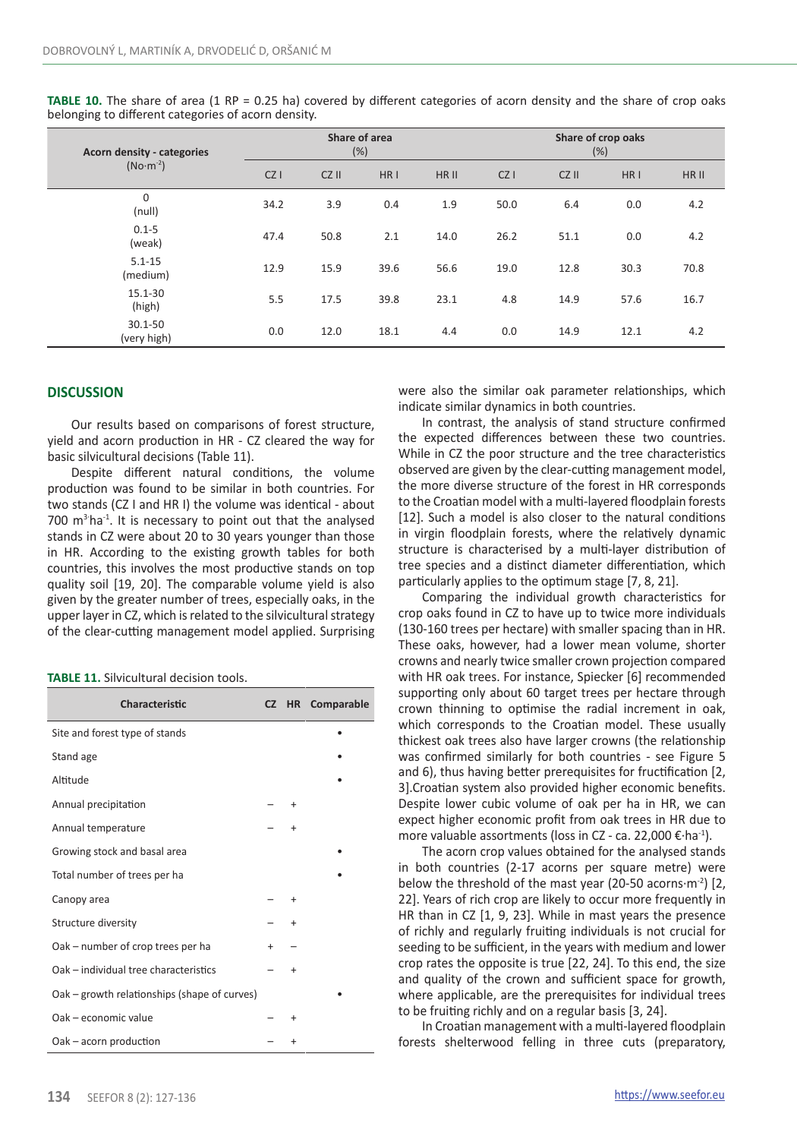| Acorn density - categories | Share of area<br>(%) |       |                 |       | Share of crop oaks<br>(% ) |       |                 |       |
|----------------------------|----------------------|-------|-----------------|-------|----------------------------|-------|-----------------|-------|
| $(No·m-2)$                 | CZ                   | CZ II | HR <sub>1</sub> | HR II | CZ                         | CZ II | HR <sub>1</sub> | HR II |
| $\mathbf 0$<br>(null)      | 34.2                 | 3.9   | 0.4             | 1.9   | 50.0                       | 6.4   | 0.0             | 4.2   |
| $0.1 - 5$<br>(weak)        | 47.4                 | 50.8  | 2.1             | 14.0  | 26.2                       | 51.1  | 0.0             | 4.2   |
| $5.1 - 15$<br>(medium)     | 12.9                 | 15.9  | 39.6            | 56.6  | 19.0                       | 12.8  | 30.3            | 70.8  |
| 15.1-30<br>(high)          | 5.5                  | 17.5  | 39.8            | 23.1  | 4.8                        | 14.9  | 57.6            | 16.7  |
| $30.1 - 50$<br>(very high) | 0.0                  | 12.0  | 18.1            | 4.4   | 0.0                        | 14.9  | 12.1            | 4.2   |

**TABLE 10.** The share of area (1 RP = 0.25 ha) covered by different categories of acorn density and the share of crop oaks belonging to different categories of acorn density.

## **DISCUSSION**

Our results based on comparisons of forest structure, yield and acorn production in HR - CZ cleared the way for basic silvicultural decisions (Table 11).

Despite different natural conditions, the volume production was found to be similar in both countries. For two stands (CZ I and HR I) the volume was identical - about 700  $m<sup>3</sup>$  ha<sup>-1</sup>. It is necessary to point out that the analysed stands in CZ were about 20 to 30 years younger than those in HR. According to the existing growth tables for both countries, this involves the most productive stands on top quality soil [19, 20]. The comparable volume yield is also given by the greater number of trees, especially oaks, in the upper layer in CZ, which is related to the silvicultural strategy of the clear-cutting management model applied. Surprising

| Characteristic                               |     | CZ HR Comparable |
|----------------------------------------------|-----|------------------|
| Site and forest type of stands               |     |                  |
| Stand age                                    |     |                  |
| Altitude                                     |     |                  |
| Annual precipitation                         |     |                  |
| Annual temperature                           |     |                  |
| Growing stock and basal area                 |     |                  |
| Total number of trees per ha                 |     |                  |
| Canopy area                                  |     |                  |
| Structure diversity                          |     |                  |
| Oak - number of crop trees per ha            | $+$ |                  |
| Oak - individual tree characteristics        |     |                  |
| Oak – growth relationships (shape of curves) |     |                  |
| Oak - economic value                         |     |                  |
| Oak - acorn production                       |     |                  |

were also the similar oak parameter relationships, which indicate similar dynamics in both countries.

In contrast, the analysis of stand structure confirmed the expected differences between these two countries. While in CZ the poor structure and the tree characteristics observed are given by the clear-cutting management model, the more diverse structure of the forest in HR corresponds to the Croatian model with a multi-layered floodplain forests [12]. Such a model is also closer to the natural conditions in virgin floodplain forests, where the relatively dynamic structure is characterised by a multi-layer distribution of tree species and a distinct diameter differentiation, which particularly applies to the optimum stage [7, 8, 21].

Comparing the individual growth characteristics for crop oaks found in CZ to have up to twice more individuals (130-160 trees per hectare) with smaller spacing than in HR. These oaks, however, had a lower mean volume, shorter crowns and nearly twice smaller crown projection compared with HR oak trees. For instance, Spiecker [6] recommended supporting only about 60 target trees per hectare through crown thinning to optimise the radial increment in oak, which corresponds to the Croatian model. These usually thickest oak trees also have larger crowns (the relationship was confirmed similarly for both countries - see Figure 5 and 6), thus having better prerequisites for fructification [2, 3].Croatian system also provided higher economic benefits. Despite lower cubic volume of oak per ha in HR, we can expect higher economic profit from oak trees in HR due to more valuable assortments (loss in CZ - ca. 22,000 €·ha-1).

The acorn crop values obtained for the analysed stands in both countries (2-17 acorns per square metre) were below the threshold of the mast year (20-50 acorns $\cdot$ m<sup>-2</sup>) [2, 22]. Years of rich crop are likely to occur more frequently in HR than in CZ [1, 9, 23]. While in mast years the presence of richly and regularly fruiting individuals is not crucial for seeding to be sufficient, in the years with medium and lower crop rates the opposite is true [22, 24]. To this end, the size and quality of the crown and sufficient space for growth, where applicable, are the prerequisites for individual trees to be fruiting richly and on a regular basis [3, 24].

In Croatian management with a multi-layered floodplain forests shelterwood felling in three cuts (preparatory,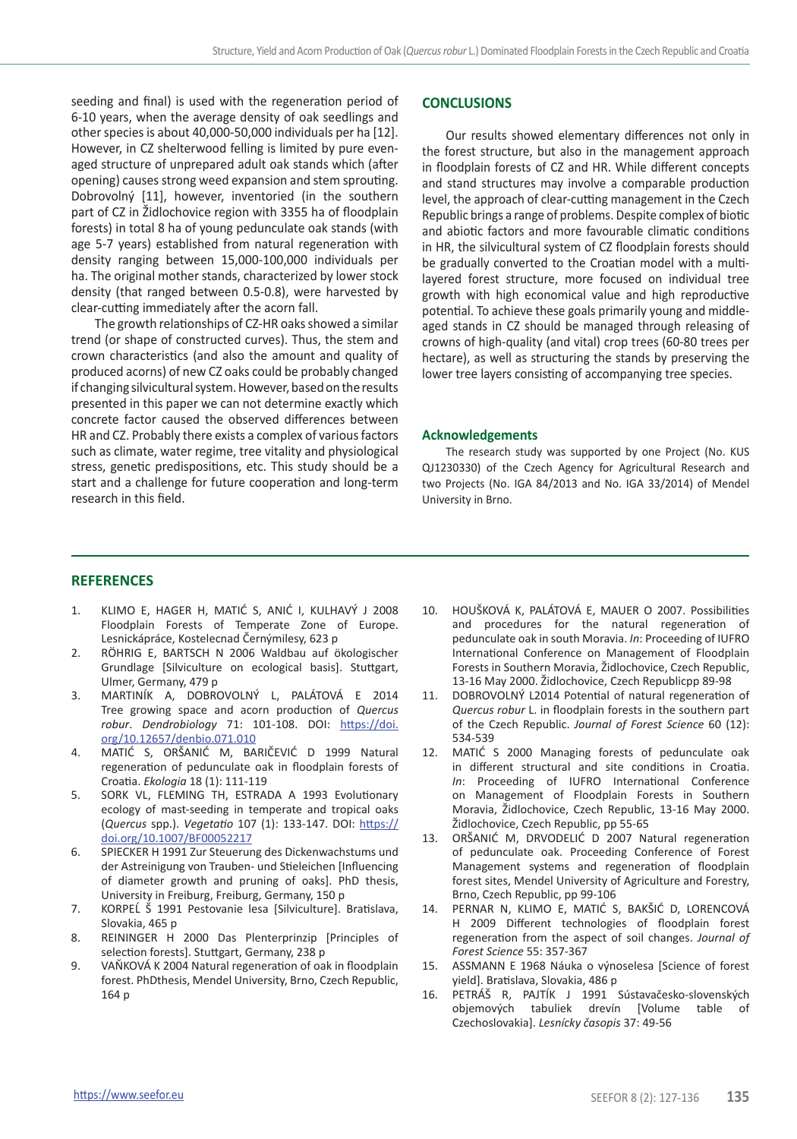seeding and final) is used with the regeneration period of 6-10 years, when the average density of oak seedlings and other species is about 40,000-50,000 individuals per ha [12]. However, in CZ shelterwood felling is limited by pure evenaged structure of unprepared adult oak stands which (after opening) causes strong weed expansion and stem sprouting. Dobrovolný [11], however, inventoried (in the southern part of CZ in Židlochovice region with 3355 ha of floodplain forests) in total 8 ha of young pedunculate oak stands (with age 5-7 years) established from natural regeneration with density ranging between 15,000-100,000 individuals per ha. The original mother stands, characterized by lower stock density (that ranged between 0.5-0.8), were harvested by clear-cutting immediately after the acorn fall.

The growth relationships of CZ-HR oaks showed a similar trend (or shape of constructed curves). Thus, the stem and crown characteristics (and also the amount and quality of produced acorns) of new CZ oaks could be probably changed if changing silvicultural system. However, based on the results presented in this paper we can not determine exactly which concrete factor caused the observed differences between HR and CZ. Probably there exists a complex of various factors such as climate, water regime, tree vitality and physiological stress, genetic predispositions, etc. This study should be a start and a challenge for future cooperation and long-term research in this field.

## **CONCLUSIONS**

Our results showed elementary differences not only in the forest structure, but also in the management approach in floodplain forests of CZ and HR. While different concepts and stand structures may involve a comparable production level, the approach of clear-cutting management in the Czech Republic brings a range of problems. Despite complex of biotic and abiotic factors and more favourable climatic conditions in HR, the silvicultural system of CZ floodplain forests should be gradually converted to the Croatian model with a multilayered forest structure, more focused on individual tree growth with high economical value and high reproductive potential. To achieve these goals primarily young and middleaged stands in CZ should be managed through releasing of crowns of high-quality (and vital) crop trees (60-80 trees per hectare), as well as structuring the stands by preserving the lower tree layers consisting of accompanying tree species.

#### **Acknowledgements**

The research study was supported by one Project (No. KUS QJ1230330) of the Czech Agency for Agricultural Research and two Projects (No. IGA 84/2013 and No. IGA 33/2014) of Mendel University in Brno.

## **REFERENCES**

- 1. KLIMO E, HAGER H, MATIĆ S, ANIĆ I, KULHAVÝ J 2008 Floodplain Forests of Temperate Zone of Europe. Lesnickápráce, Kostelecnad Černýmilesy, 623 p
- 2. RÖHRIG E, BARTSCH N 2006 Waldbau auf ökologischer Grundlage [Silviculture on ecological basis]. Stuttgart, Ulmer, Germany, 479 p
- 3. MARTINÍK A, DOBROVOLNÝ L, PALÁTOVÁ E 2014 Tree growing space and acorn production of *Quercus robur*. *Dendrobiology* 71: 101-108. DOI: [https://doi.](https://doi.org/10.12657/denbio.071.010) [org/10.12657/denbio.071.010](https://doi.org/10.12657/denbio.071.010)
- 4. MATIĆ S, ORŠANIĆ M, BARIČEVIĆ D 1999 Natural regeneration of pedunculate oak in floodplain forests of Croatia. *Ekologia* 18 (1): 111-119
- 5. SORK VL, FLEMING TH, ESTRADA A 1993 Evolutionary ecology of mast-seeding in temperate and tropical oaks (*Quercus* spp.). *Vegetatio* 107 (1): 133-147. DOI: [https://](https://doi.org/10.1007/BF00052217) [doi.org/10.1007/BF00052217](https://doi.org/10.1007/BF00052217)
- 6. SPIECKER H 1991 Zur Steuerung des Dickenwachstums und der Astreinigung von Trauben- und Stieleichen [Influencing of diameter growth and pruning of oaks]. PhD thesis, University in Freiburg, Freiburg, Germany, 150 p
- 7. KORPEĹ Š 1991 Pestovanie lesa [Silviculture]. Bratislava, Slovakia, 465 p
- 8. REININGER H 2000 Das Plenterprinzip [Principles of selection forests]. Stuttgart, Germany, 238 p
- 9. VAŇKOVÁ K 2004 Natural regeneration of oak in floodplain forest. PhDthesis, Mendel University, Brno, Czech Republic, 164 p
- 10. HOUŠKOVÁ K, PALÁTOVÁ E, MAUER O 2007. Possibilities and procedures for the natural regeneration of pedunculate oak in south Moravia. *In*: Proceeding of IUFRO International Conference on Management of Floodplain Forests in Southern Moravia, Židlochovice, Czech Republic, 13-16 May 2000. Židlochovice, Czech Republicpp 89-98
- 11. DOBROVOLNÝ L2014 Potential of natural regeneration of *Quercus robur* L. in floodplain forests in the southern part of the Czech Republic. *Journal of Forest Science* 60 (12): 534-539
- 12. MATIĆ S 2000 Managing forests of pedunculate oak in different structural and site conditions in Croatia. *In*: Proceeding of IUFRO International Conference on Management of Floodplain Forests in Southern Moravia, Židlochovice, Czech Republic, 13-16 May 2000. Židlochovice, Czech Republic, pp 55-65
- 13. ORŠANIĆ M, DRVODELIĆ D 2007 Natural regeneration of pedunculate oak. Proceeding Conference of Forest Management systems and regeneration of floodplain forest sites, Mendel University of Agriculture and Forestry, Brno, Czech Republic, pp 99-106
- 14. PERNAR N, KLIMO E, MATIĆ S, BAKŠIĆ D, LORENCOVÁ H 2009 Different technologies of floodplain forest regeneration from the aspect of soil changes. *Journal of Forest Science* 55: 357-367
- 15. ASSMANN E 1968 Náuka o výnoselesa [Science of forest yield]. Bratislava, Slovakia, 486 p
- 16. PETRÁŠ R, PAJTÍK J 1991 Sústavačesko-slovenských objemových tabuliek drevín [Volume table of Czechoslovakia]. *Lesnícky časopis* 37: 49-56